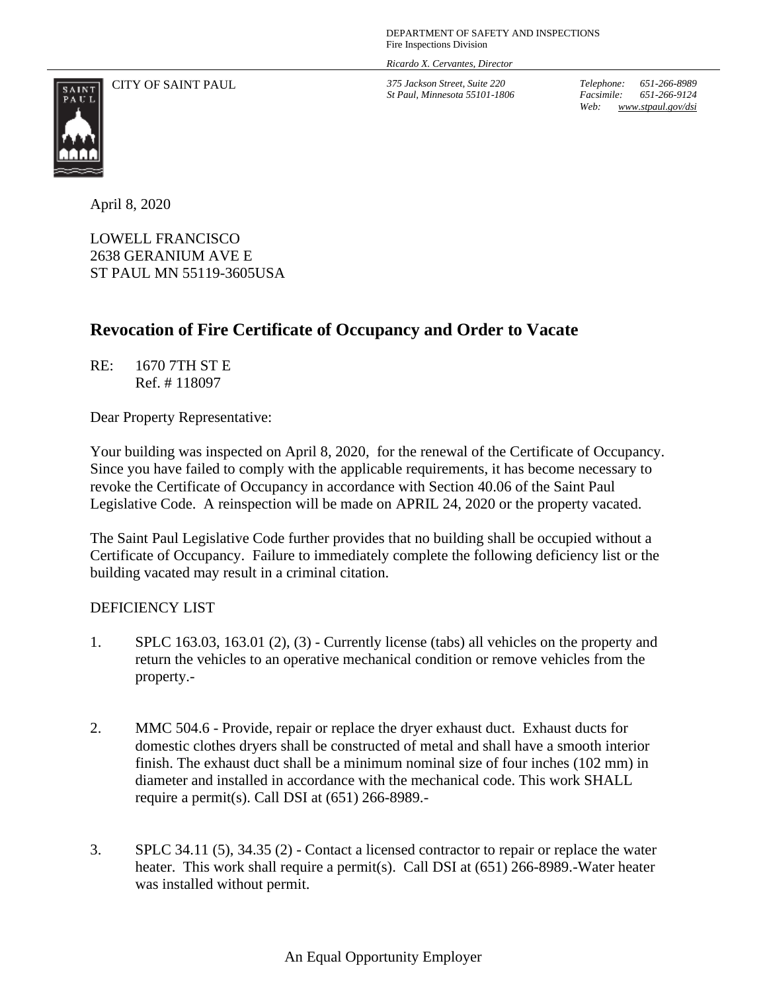*Ricardo X. Cervantes, Director*

CITY OF SAINT PAUL *375 Jackson Street, Suite 220*

*St Paul, Minnesota 55101-1806*

*Telephone: 651-266-8989 Facsimile: 651-266-9124 Web: www.stpaul.gov/dsi*



April 8, 2020

LOWELL FRANCISCO 2638 GERANIUM AVE E ST PAUL MN 55119-3605USA

## **Revocation of Fire Certificate of Occupancy and Order to Vacate**

RE: 1670 7TH ST E Ref. # 118097

Dear Property Representative:

Your building was inspected on April 8, 2020, for the renewal of the Certificate of Occupancy. Since you have failed to comply with the applicable requirements, it has become necessary to revoke the Certificate of Occupancy in accordance with Section 40.06 of the Saint Paul Legislative Code. A reinspection will be made on APRIL 24, 2020 or the property vacated.

The Saint Paul Legislative Code further provides that no building shall be occupied without a Certificate of Occupancy. Failure to immediately complete the following deficiency list or the building vacated may result in a criminal citation.

## DEFICIENCY LIST

- 1. SPLC 163.03, 163.01 (2), (3) Currently license (tabs) all vehicles on the property and return the vehicles to an operative mechanical condition or remove vehicles from the property.-
- 2. MMC 504.6 Provide, repair or replace the dryer exhaust duct. Exhaust ducts for domestic clothes dryers shall be constructed of metal and shall have a smooth interior finish. The exhaust duct shall be a minimum nominal size of four inches (102 mm) in diameter and installed in accordance with the mechanical code. This work SHALL require a permit(s). Call DSI at (651) 266-8989.-
- 3. SPLC 34.11 (5), 34.35 (2) Contact a licensed contractor to repair or replace the water heater. This work shall require a permit(s). Call DSI at (651) 266-8989.-Water heater was installed without permit.